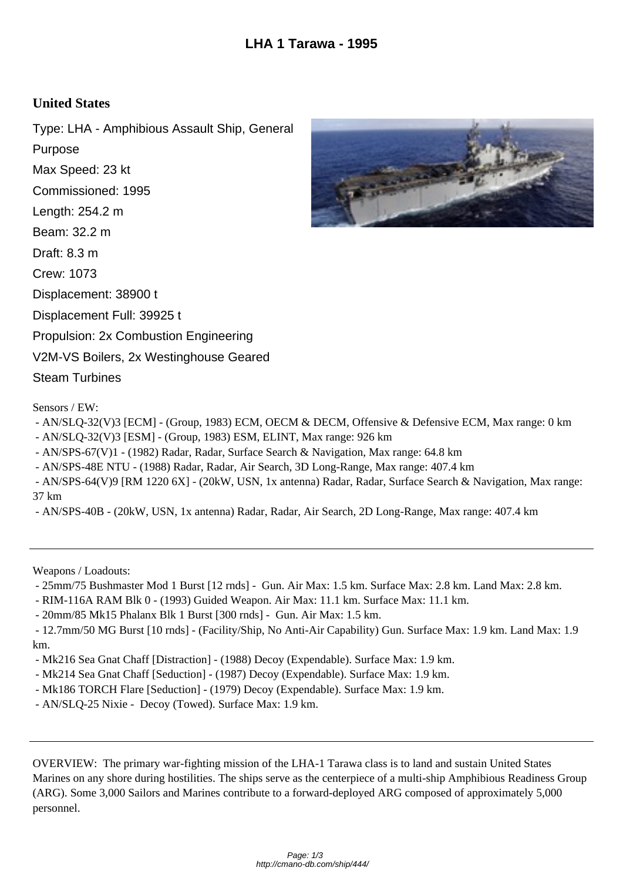## **United States**

Type: LHA - Amphibious Assault Ship, General Purpose Max Speed: 23 kt Commissioned: 1995 Length: 254.2 m Beam: 32.2 m Draft: 8.3 m Crew: 1073 Displacement: 38900 t Displacement Full: 39925 t Propulsion: 2x Combustion Engineering V2M-VS Boilers, 2x Westinghouse Geared Steam Turbines

Sensors / EW:

- AN/SLQ-32(V)3 [ECM] - (Group, 1983) ECM, OECM & DECM, Offensive & Defensive ECM, Max range: 0 km

- AN/SLQ-32(V)3 [ESM] (Group, 1983) ESM, ELINT, Max range: 926 km
- AN/SPS-67(V)1 (1982) Radar, Radar, Surface Search & Navigation, Max range: 64.8 km

- AN/SPS-48E NTU - (1988) Radar, Radar, Air Search, 3D Long-Range, Max range: 407.4 km

 - AN/SPS-64(V)9 [RM 1220 6X] - (20kW, USN, 1x antenna) Radar, Radar, Surface Search & Navigation, Max range: 37 km

- AN/SPS-40B - (20kW, USN, 1x antenna) Radar, Radar, Air Search, 2D Long-Range, Max range: 407.4 km

Weapons / Loadouts:

- 25mm/75 Bushmaster Mod 1 Burst [12 rnds] - Gun. Air Max: 1.5 km. Surface Max: 2.8 km. Land Max: 2.8 km.

- RIM-116A RAM Blk 0 - (1993) Guided Weapon. Air Max: 11.1 km. Surface Max: 11.1 km.

- 20mm/85 Mk15 Phalanx Blk 1 Burst [300 rnds] - Gun. Air Max: 1.5 km.

 - 12.7mm/50 MG Burst [10 rnds] - (Facility/Ship, No Anti-Air Capability) Gun. Surface Max: 1.9 km. Land Max: 1.9 km.

- Mk216 Sea Gnat Chaff [Distraction] - (1988) Decoy (Expendable). Surface Max: 1.9 km.

- Mk214 Sea Gnat Chaff [Seduction] - (1987) Decoy (Expendable). Surface Max: 1.9 km.

- Mk186 TORCH Flare [Seduction] - (1979) Decoy (Expendable). Surface Max: 1.9 km.

- AN/SLQ-25 Nixie - Decoy (Towed). Surface Max: 1.9 km.

OVERVIEW: The primary war-fighting mission of the LHA-1 Tarawa class is to land and sustain United States Marines on any shore during hostilities. The ships serve as the centerpiece of a multi-ship Amphibious Readiness Group (ARG). Some 3,000 Sailors and Marines contribute to a forward-deployed ARG composed of approximately 5,000 personnel.

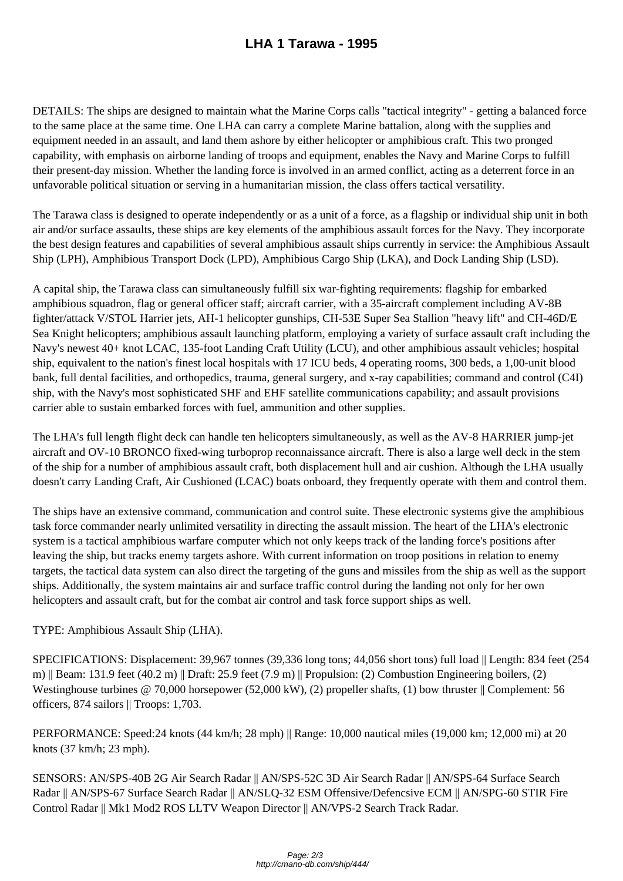DETAILS: The ships are designed to maintain what the Marine Corps calls "tactical integrity" - getting a balanced force to the same place at the same time. One LHA can carry a complete Marine battalion, along with the supplies and equipment needed in an assault, and land them ashore by either helicopter or amphibious craft. This two pronged capability, with emphasis on airborne landing of troops and equipment, enables the Navy and Marine Corps to fulfill their present-day mission. Whether the landing force is involved in an armed conflict, acting as a deterrent force in an unfavorable political situation or serving in a humanitarian mission, the class offers tactical versatility.

The Tarawa class is designed to operate independently or as a unit of a force, as a flagship or individual ship unit in both air and/or surface assaults, these ships are key elements of the amphibious assault forces for the Navy. They incorporate the best design features and capabilities of several amphibious assault ships currently in service: the Amphibious Assault Ship (LPH), Amphibious Transport Dock (LPD), Amphibious Cargo Ship (LKA), and Dock Landing Ship (LSD).

A capital ship, the Tarawa class can simultaneously fulfill six war-fighting requirements: flagship for embarked amphibious squadron, flag or general officer staff; aircraft carrier, with a 35-aircraft complement including AV-8B fighter/attack V/STOL Harrier jets, AH-1 helicopter gunships, CH-53E Super Sea Stallion "heavy lift" and CH-46D/E Sea Knight helicopters; amphibious assault launching platform, employing a variety of surface assault craft including the Navy's newest 40+ knot LCAC, 135-foot Landing Craft Utility (LCU), and other amphibious assault vehicles; hospital ship, equivalent to the nation's finest local hospitals with 17 ICU beds, 4 operating rooms, 300 beds, a 1,00-unit blood bank, full dental facilities, and orthopedics, trauma, general surgery, and x-ray capabilities; command and control (C4I) ship, with the Navy's most sophisticated SHF and EHF satellite communications capability; and assault provisions carrier able to sustain embarked forces with fuel, ammunition and other supplies.

The LHA's full length flight deck can handle ten helicopters simultaneously, as well as the AV-8 HARRIER jump-jet aircraft and OV-10 BRONCO fixed-wing turboprop reconnaissance aircraft. There is also a large well deck in the stem of the ship for a number of amphibious assault craft, both displacement hull and air cushion. Although the LHA usually doesn't carry Landing Craft, Air Cushioned (LCAC) boats onboard, they frequently operate with them and control them.

The ships have an extensive command, communication and control suite. These electronic systems give the amphibious task force commander nearly unlimited versatility in directing the assault mission. The heart of the LHA's electronic system is a tactical amphibious warfare computer which not only keeps track of the landing force's positions after leaving the ship, but tracks enemy targets ashore. With current information on troop positions in relation to enemy targets, the tactical data system can also direct the targeting of the guns and missiles from the ship as well as the support ships. Additionally, the system maintains air and surface traffic control during the landing not only for her own helicopters and assault craft, but for the combat air control and task force support ships as well.

## TYPE: Amphibious Assault Ship (LHA).

SPECIFICATIONS: Displacement: 39,967 tonnes (39,336 long tons; 44,056 short tons) full load || Length: 834 feet (254 m) || Beam: 131.9 feet  $(40.2 \text{ m})$  || Draft: 25.9 feet  $(7.9 \text{ m})$  || Propulsion: (2) Combustion Engineering boilers, (2) Westinghouse turbines @ 70,000 horsepower (52,000 kW), (2) propeller shafts, (1) bow thruster || Complement: 56 officers, 874 sailors || Troops: 1,703.

PERFORMANCE: Speed: 24 knots (44 km/h; 28 mph)  $\parallel$  Range: 10,000 nautical miles (19,000 km; 12,000 mi) at 20 knots (37 km/h; 23 mph).

SENSORS: AN/SPS-40B 2G Air Search Radar || AN/SPS-52C 3D Air Search Radar || AN/SPS-64 Surface Search Radar || AN/SPS-67 Surface Search Radar || AN/SLQ-32 ESM Offensive/Defencsive ECM || AN/SPG-60 STIR Fire Control Radar || Mk1 Mod2 ROS LLTV Weapon Director || AN/VPS-2 Search Track Radar.